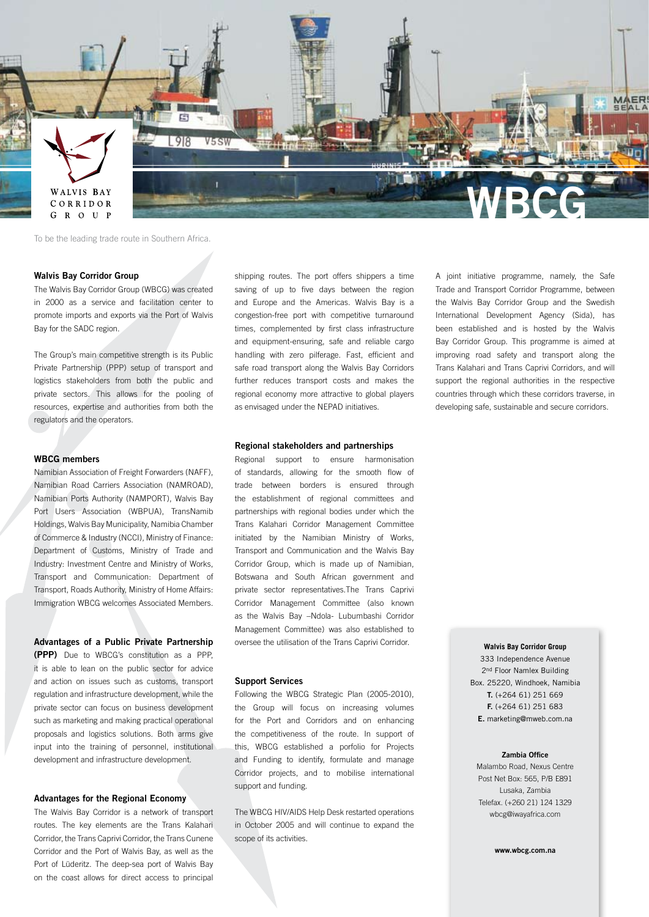

To be the leading trade route in Southern Africa.

## **Walvis Bay Corridor Group**

The Walvis Bay Corridor Group (WBCG) was created in 2000 as a service and facilitation center to promote imports and exports via the Port of Walvis Bay for the SADC region.

The Group's main competitive strength is its Public Private Partnership (PPP) setup of transport and logistics stakeholders from both the public and private sectors. This allows for the pooling of resources, expertise and authorities from both the regulators and the operators.

## **WBCG members**

Namibian Association of Freight Forwarders (NAFF), Namibian Road Carriers Association (NAMROAD), Namibian Ports Authority (NAMPORT), Walvis Bay Port Users Association (WBPUA), TransNamib Holdings, Walvis Bay Municipality, Namibia Chamber of Commerce & Industry (NCCI), Ministry of Finance: Department of Customs, Ministry of Trade and Industry: Investment Centre and Ministry of Works, Transport and Communication: Department of Transport, Roads Authority, Ministry of Home Affairs: Immigration WBCG welcomes Associated Members.

**Advantages of a Public Private Partnership (PPP)** Due to WBCG's constitution as a PPP, it is able to lean on the public sector for advice and action on issues such as customs, transport regulation and infrastructure development, while the private sector can focus on business development such as marketing and making practical operational proposals and logistics solutions. Both arms give input into the training of personnel, institutional development and infrastructure development.

## **Advantages for the Regional Economy**

The Walvis Bay Corridor is a network of transport routes. The key elements are the Trans Kalahari Corridor, the Trans Caprivi Corridor, the Trans Cunene Corridor and the Port of Walvis Bay, as well as the Port of Lüderitz. The deep-sea port of Walvis Bay on the coast allows for direct access to principal

shipping routes. The port offers shippers a time saving of up to five days between the region and Europe and the Americas. Walvis Bay is a congestion-free port with competitive turnaround times, complemented by first class infrastructure and equipment-ensuring, safe and reliable cargo handling with zero pilferage. Fast, efficient and safe road transport along the Walvis Bay Corridors further reduces transport costs and makes the regional economy more attractive to global players as envisaged under the NEPAD initiatives.

## **Regional stakeholders and partnerships**

Regional support to ensure harmonisation of standards, allowing for the smooth flow of trade between borders is ensured through the establishment of regional committees and partnerships with regional bodies under which the Trans Kalahari Corridor Management Committee initiated by the Namibian Ministry of Works, Transport and Communication and the Walvis Bay Corridor Group, which is made up of Namibian, Botswana and South African government and private sector representatives.The Trans Caprivi Corridor Management Committee (also known as the Walvis Bay –Ndola- Lubumbashi Corridor Management Committee) was also established to oversee the utilisation of the Trans Caprivi Corridor.

#### **Support Services**

Following the WBCG Strategic Plan (2005-2010), the Group will focus on increasing volumes for the Port and Corridors and on enhancing the competitiveness of the route. In support of this, WBCG established a porfolio for Projects and Funding to identify, formulate and manage Corridor projects, and to mobilise international support and funding.

The WBCG HIV/AIDS Help Desk restarted operations in October 2005 and will continue to expand the scope of its activities.

A joint initiative programme, namely, the Safe Trade and Transport Corridor Programme, between the Walvis Bay Corridor Group and the Swedish International Development Agency (Sida), has been established and is hosted by the Walvis Bay Corridor Group. This programme is aimed at improving road safety and transport along the Trans Kalahari and Trans Caprivi Corridors, and will support the regional authorities in the respective countries through which these corridors traverse, in developing safe, sustainable and secure corridors.

#### **Walvis Bay Corridor Group**

333 Independence Avenue 2<sup>nd</sup> Floor Namlex Building Box. 25220, Windhoek, Namibia **T.** (+264 61) 251 669 **F.** (+264 61) 251 683 **E.** marketing@mweb.com.na

#### **Zambia Office**

Malambo Road, Nexus Centre Post Net Box: 565, P/B E891 Lusaka, Zambia Telefax. (+260 21) 124 1329 wbcg@iwayafrica.com

**www.wbcg.com.na**